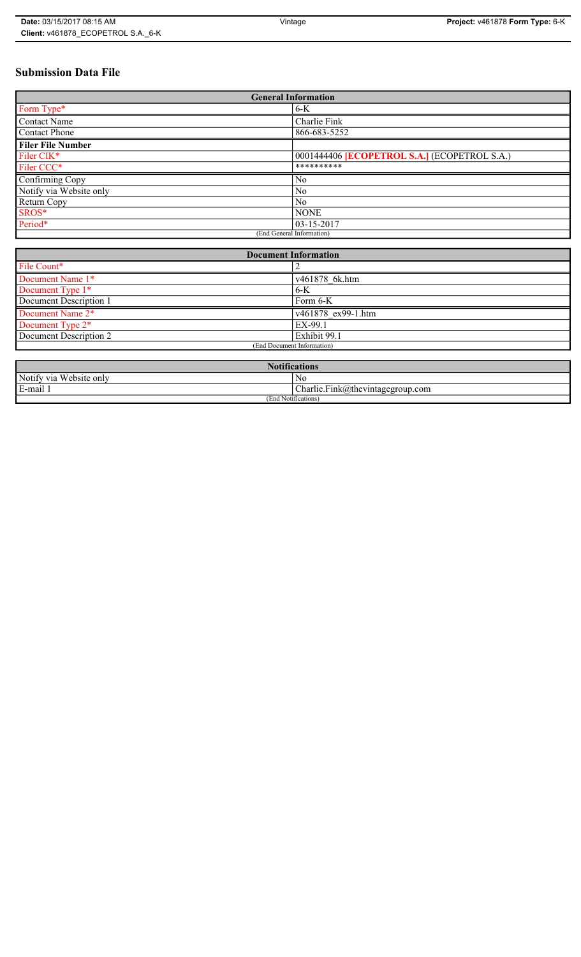# **Submission Data File**

| <b>General Information</b> |                                                   |
|----------------------------|---------------------------------------------------|
| Form Type*                 | $6-K$                                             |
| <b>Contact Name</b>        | Charlie Fink                                      |
| <b>Contact Phone</b>       | 866-683-5252                                      |
| <b>Filer File Number</b>   |                                                   |
| Filer CIK <sup>*</sup>     | 0001444406 <b>ECOPETROL S.A.</b> (ECOPETROL S.A.) |
| Filer CCC*                 | **********                                        |
| Confirming Copy            | No                                                |
| Notify via Website only    | N <sub>0</sub>                                    |
| Return Copy                | N <sub>0</sub>                                    |
| SROS*                      | <b>NONE</b>                                       |
| Period*                    | $03 - 15 - 2017$                                  |
| (End General Information)  |                                                   |

| <b>Document Information</b>  |                    |
|------------------------------|--------------------|
| File Count*                  |                    |
| Document Name 1*             | v461878 6k.htm     |
| Document Type 1*             | $6 - K$            |
| Document Description 1       | Form 6-K           |
| Document Name 2*             | v461878 ex99-1.htm |
| Document Type 2 <sup>*</sup> | EX-99.1            |
| Document Description 2       | Exhibit 99.1       |
| (End Document Information)   |                    |
|                              |                    |

| <b>Notifications</b>    |                                  |
|-------------------------|----------------------------------|
| Notify via Website only | No                               |
| E-mail 1                | Charlie.Fink@thevintagegroup.com |
| (End Notifications)     |                                  |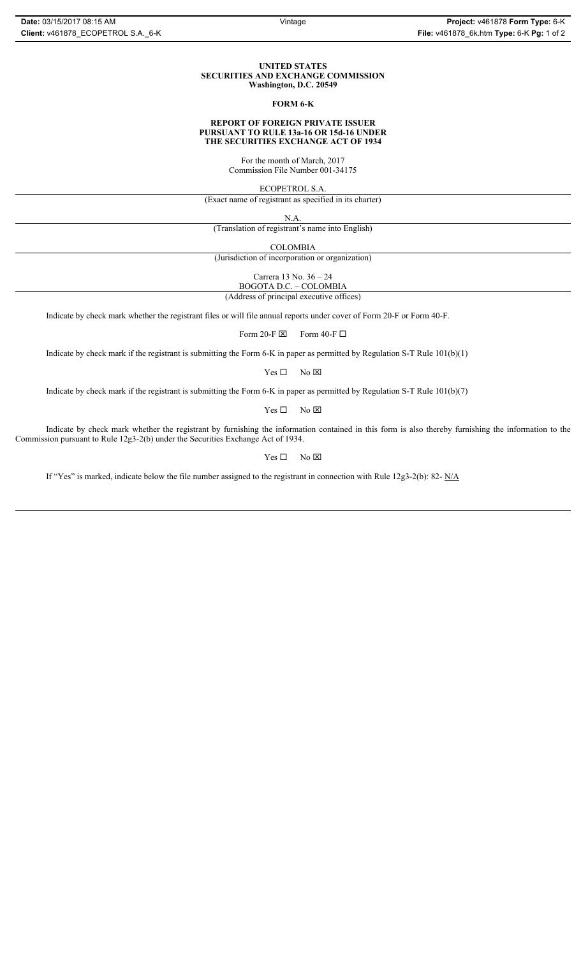### **UNITED STATES SECURITIES AND EXCHANGE COMMISSION Washington, D.C. 20549**

## **FORM 6-K**

### **REPORT OF FOREIGN PRIVATE ISSUER PURSUANT TO RULE 13a-16 OR 15d-16 UNDER THE SECURITIES EXCHANGE ACT OF 1934**

For the month of March, 2017 Commission File Number 001-34175

ECOPETROL S.A.

(Exact name of registrant as specified in its charter)

N.A.

(Translation of registrant's name into English)

COLOMBIA

(Jurisdiction of incorporation or organization)

Carrera 13 No. 36 – 24

BOGOTA D.C. – COLOMBIA (Address of principal executive offices)

Indicate by check mark whether the registrant files or will file annual reports under cover of Form 20-F or Form 40-F.

Form 20-F  $\boxtimes$  Form 40-F  $\Box$ 

Indicate by check mark if the registrant is submitting the Form 6-K in paper as permitted by Regulation S-T Rule 101(b)(1)

 $Yes \Box$  No  $\boxtimes$ 

Indicate by check mark if the registrant is submitting the Form 6-K in paper as permitted by Regulation S-T Rule 101(b)(7)

 $Yes \Box$  No  $\boxtimes$ 

Indicate by check mark whether the registrant by furnishing the information contained in this form is also thereby furnishing the information to the Commission pursuant to Rule 12g3-2(b) under the Securities Exchange Act of 1934.

 $Yes \Box$  No  $\boxtimes$ 

If "Yes" is marked, indicate below the file number assigned to the registrant in connection with Rule 12g3-2(b): 82- N/A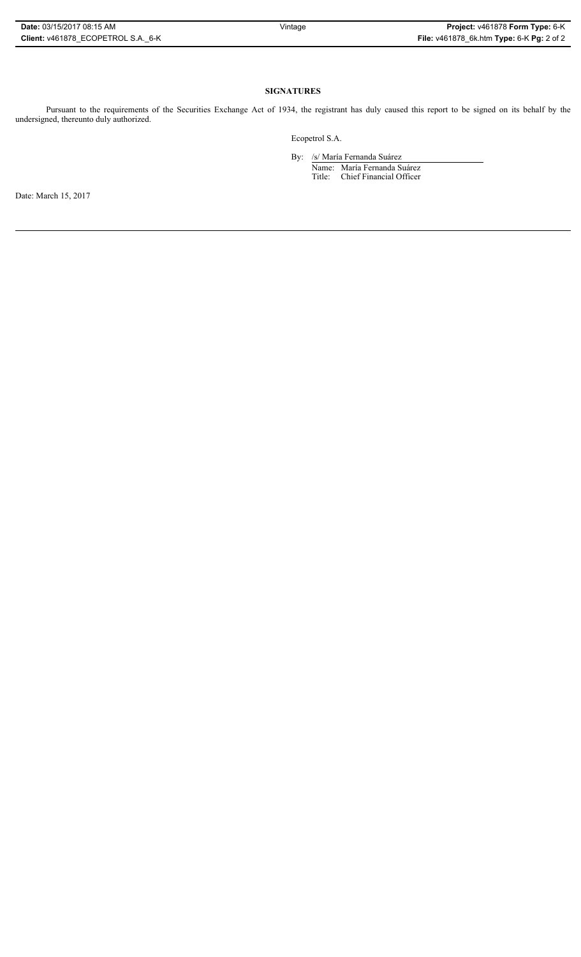## **SIGNATURES**

Pursuant to the requirements of the Securities Exchange Act of 1934, the registrant has duly caused this report to be signed on its behalf by the undersigned, thereunto duly authorized.

Ecopetrol S.A.

By: /s/ María Fernanda Suárez Name: María Fernanda Suárez Title: Chief Financial Officer

Date: March 15, 2017